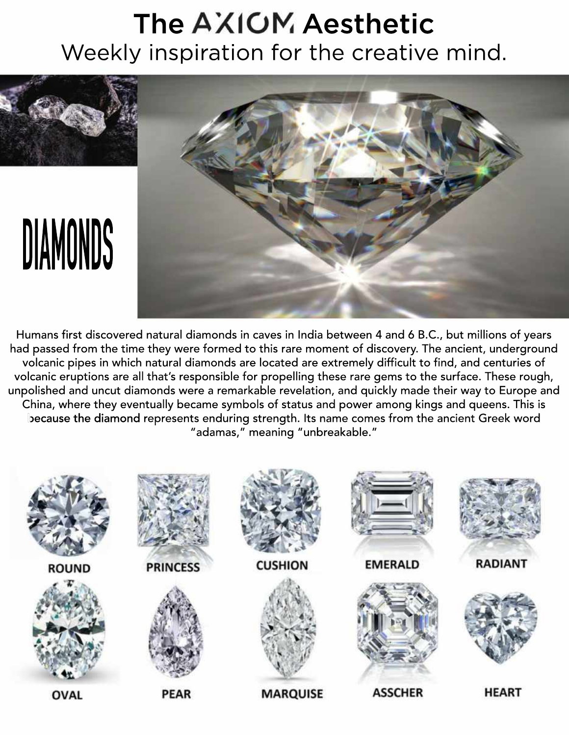## The AXIOM Aesthetic Weekly inspiration for the creative mind.



Humans first discovered natural diamonds in caves in India between 4 and 6 B.C., but millions of years had passed from the time they were formed to this rare moment of discovery. The ancient, underground volcanic pipes in which natural diamonds are located are extremely difficult to find, and centuries of volcanic eruptions are all that's responsible for propelling these rare gems to the surface. These rough, unpolished and uncut diamonds were a remarkable revelation, and quickly made their way to Europe and China, where they eventually became symbols of status and power among kings and queens. This is because the diamond represents enduring strength. Its name comes from the ancient Greek word "adamas," meaning "unbreakable."

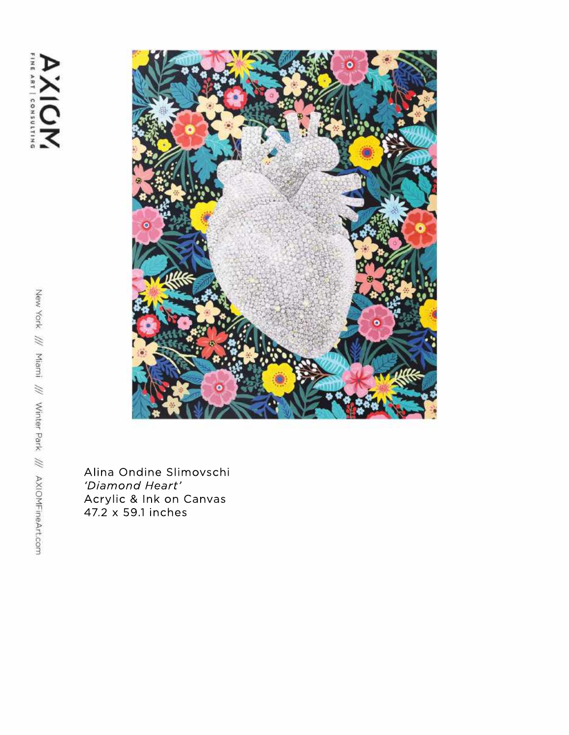

Alina Ondine Slimovschi 'Diamond Heart' Acrylic & Ink on Canvas<br>47.2 x 59.1 inches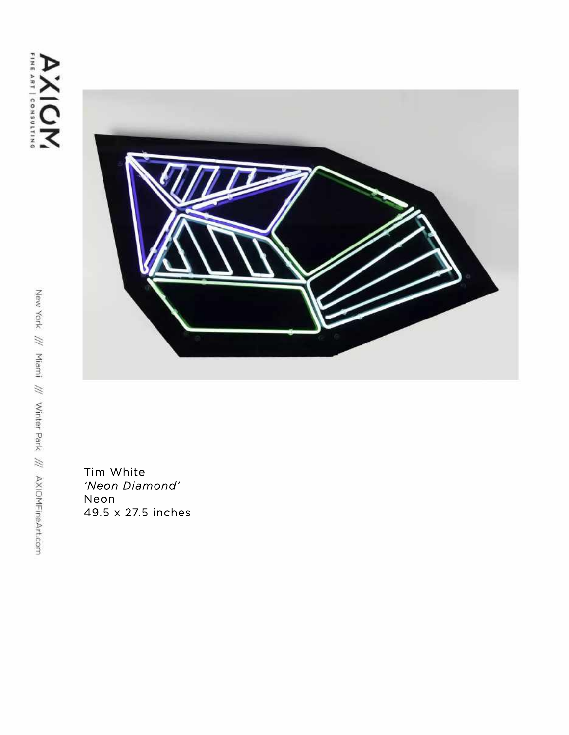

Tim White 'Neon Diamond' Neon 49.5x27.5inches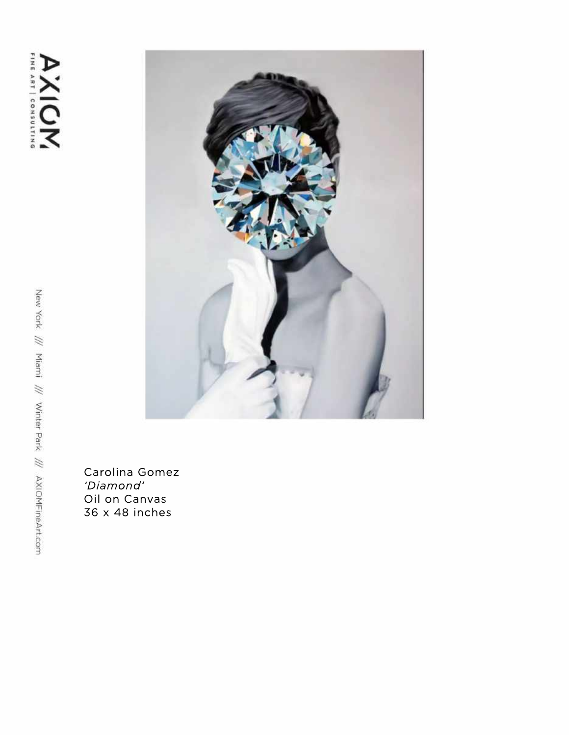

Carolina Gomez 'Diamond' Oil on Canvas 36 x 48 inches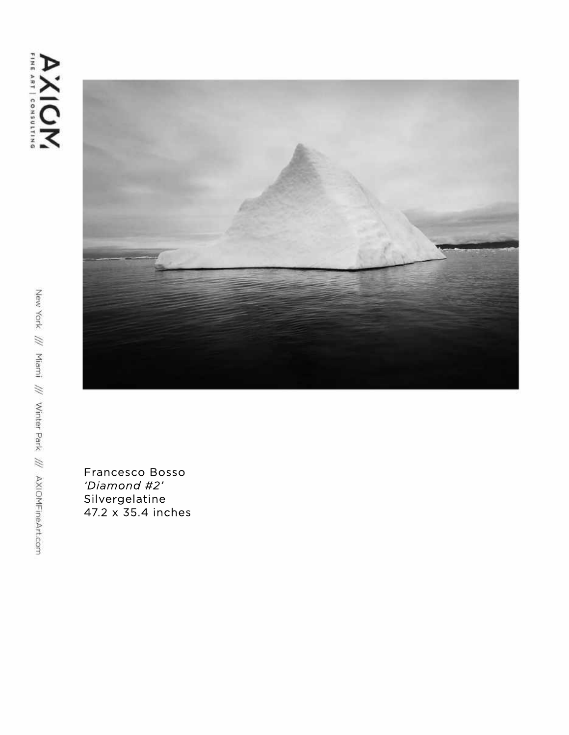



Francesco Bosso 'Diamond #2' Silvergelatine 47.2 x 35.4 inches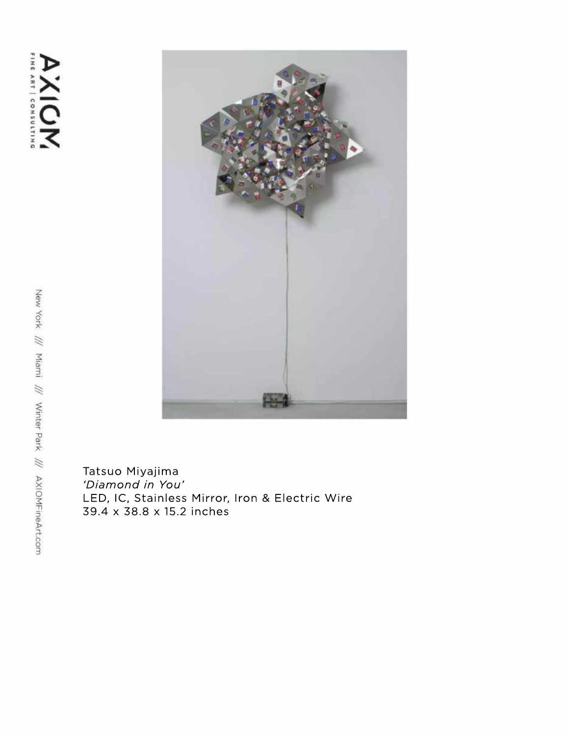

Tatsuo Miyajima *'DiamondinYou'* LED, IC, Stainless Mirror, Iron & Electric Wire 39.4x38.8x15.2inches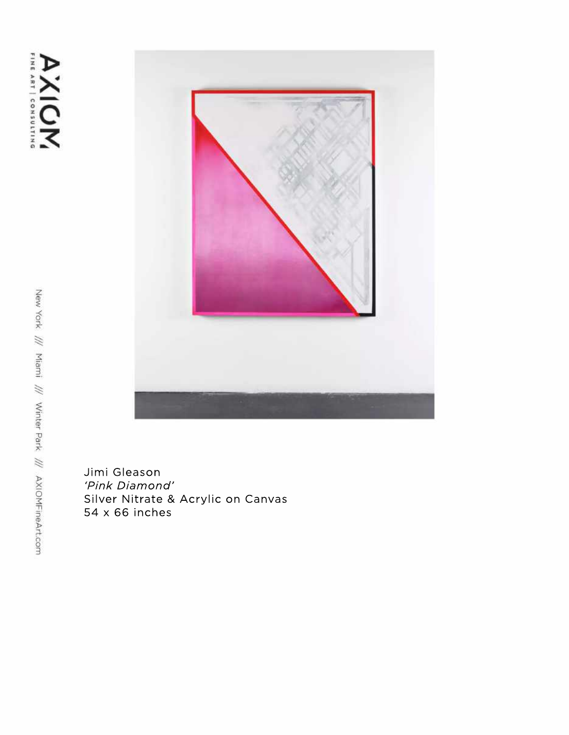

Jimi Gleason 'Pink Diamond' Silver Nitrate & Acrylic on Canvas 54 x 66 inches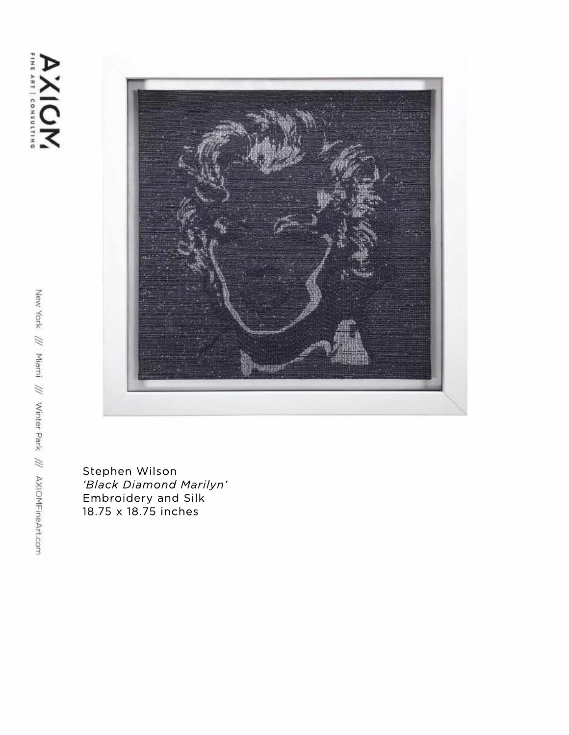

Stephen Wilson *'BlackDiamondMarilyn'* Embroidery and Silk 18.75x18.75inches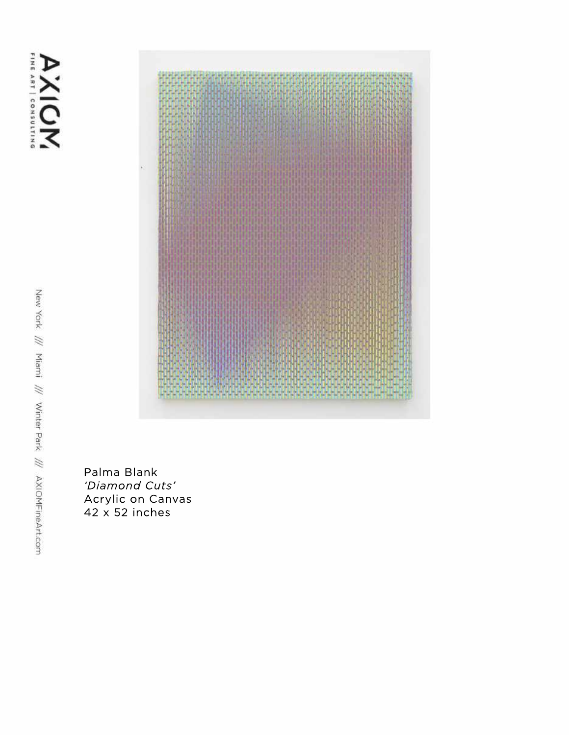AXIOM



Palma Blank 'Diamond Cuts' Acrylic on Canvas  $42 \times 52$  inches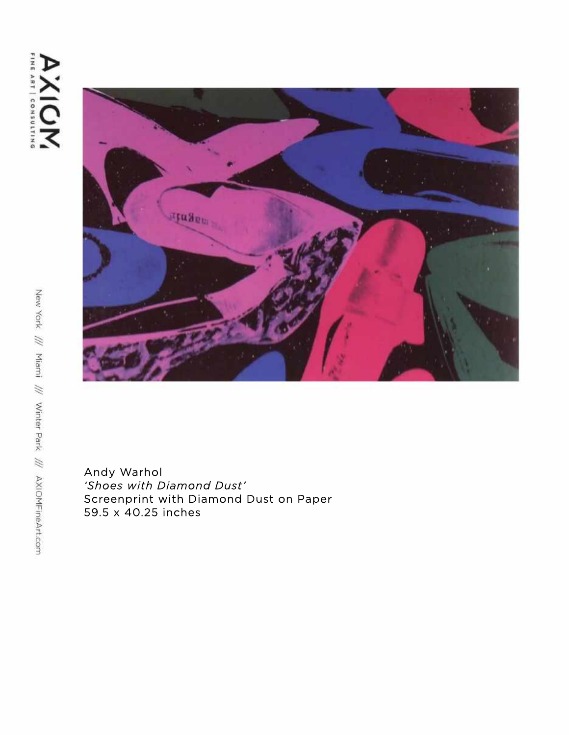

Andy Warhol 'Shoes with Diamond Dust' Screenprint with Diamond Dust on Paper 59.5x40.25inches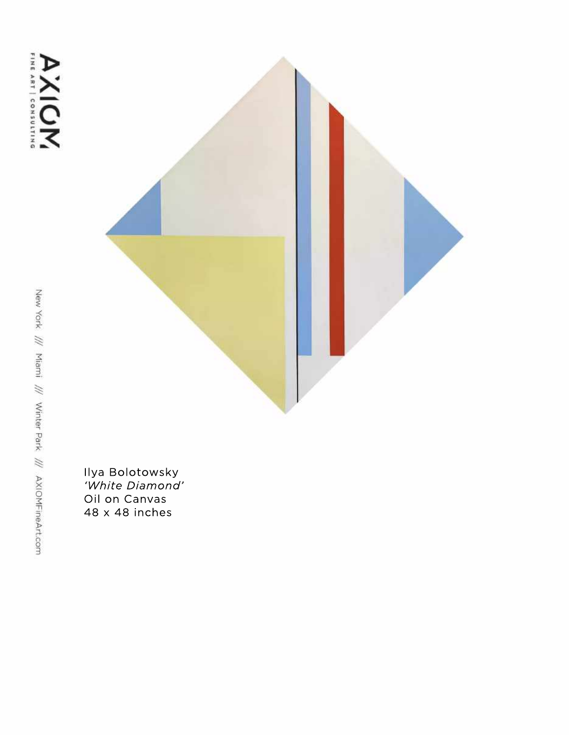

Ilya Bolotowsky<br>'White Diamond' Oil on Canvas 48 x 48 inches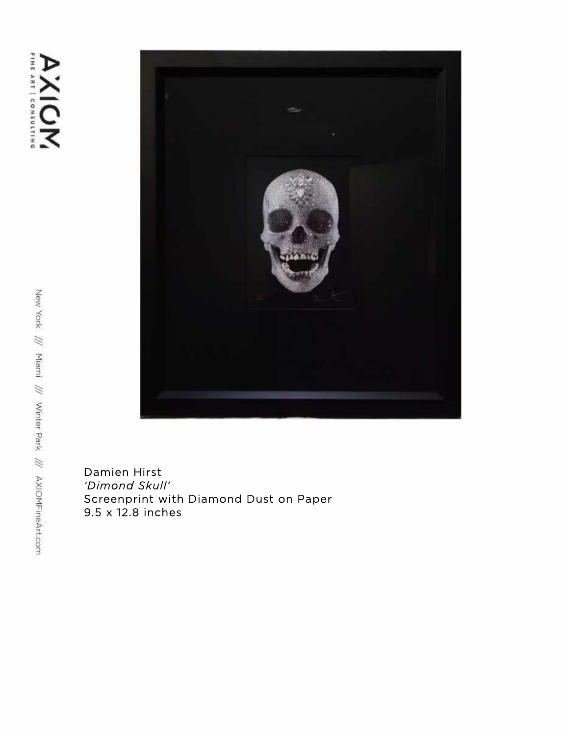

Damien Hirst 'Dimond Skull' Screenprint with Diamond Dust on Paper 9.5x12.8inches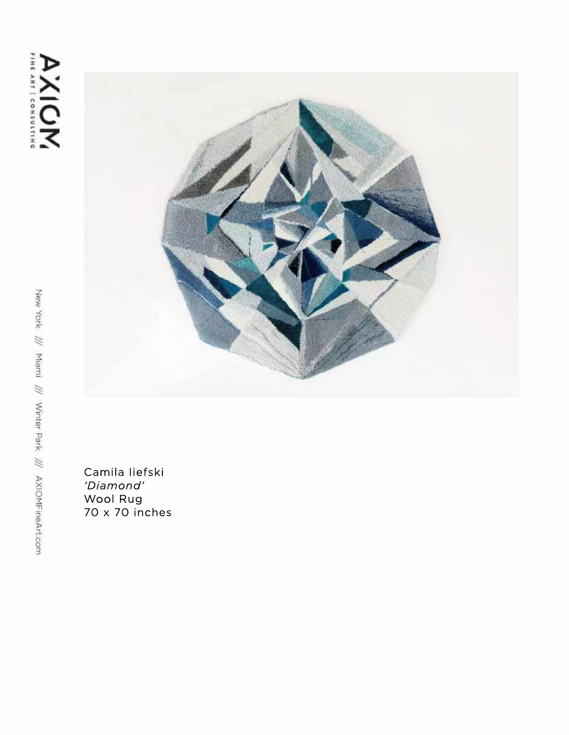

Camila liefski 'Diamond' Mool Rug<br>To x 70 inches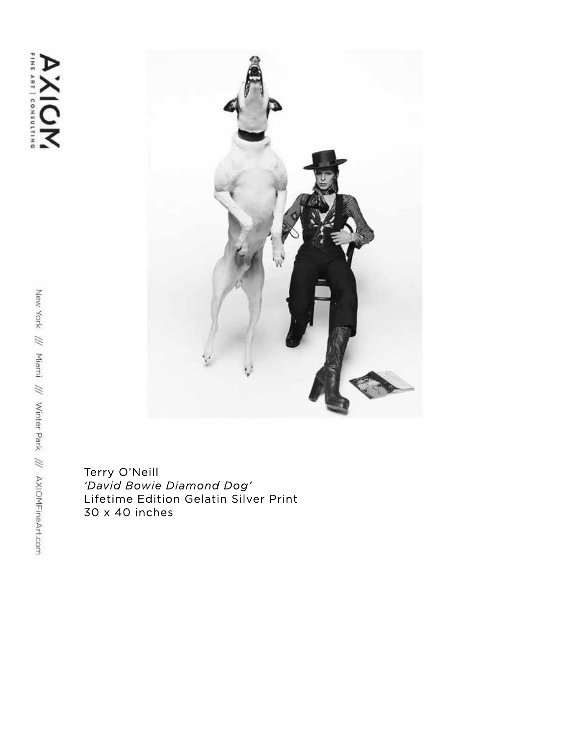

Terry O'Neill *'DavidBowieDiamondDog'* Lifetime Edition Gelatin Silver Print 30x40inches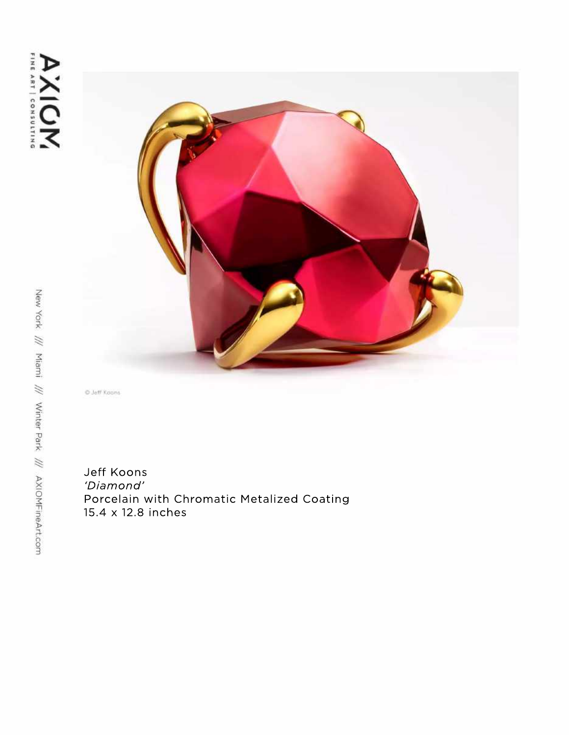

O Jeff Koons

Jeff Koons *'Diamond'* Porcelain with Chromatic Metalized Coating 15.4x12.8inches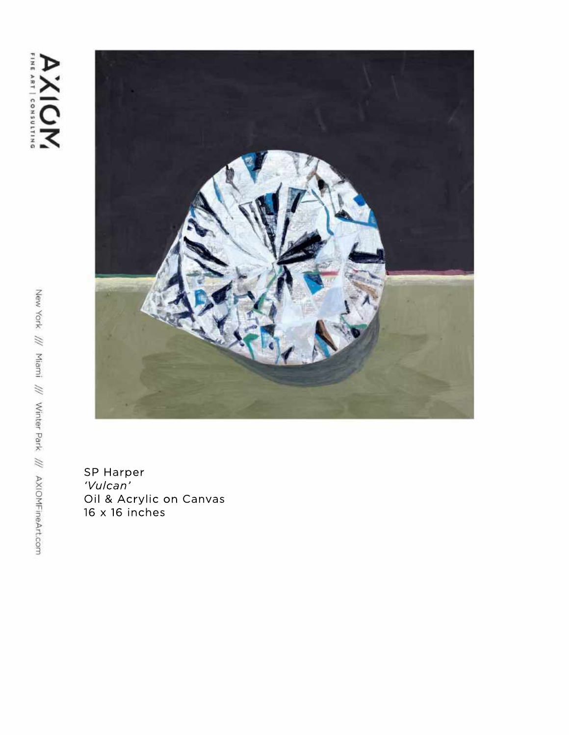

SP Harper<br>*'Vulcan'*<br>Oil & Acrylic on Canvas<br>16 x 16 inches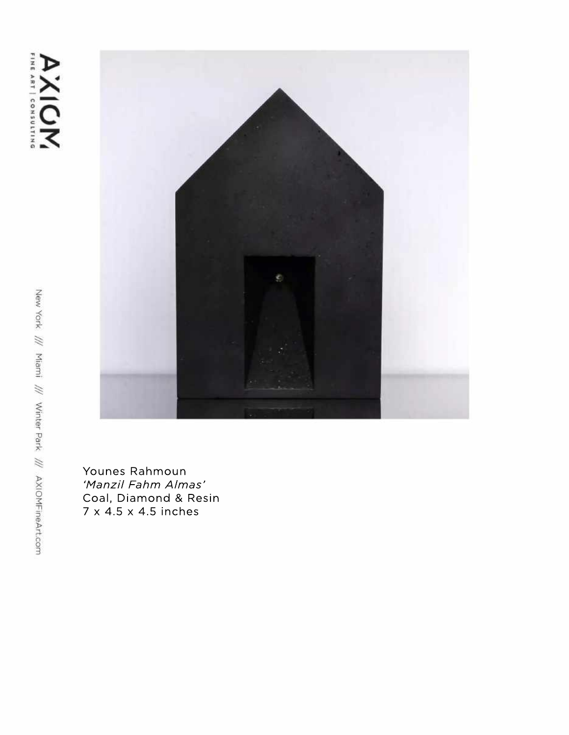

Younes Rahmoun 'Manzil Fahm Almas' Coal, Diamond & Resin 7 x 4.5 x 4.5 inches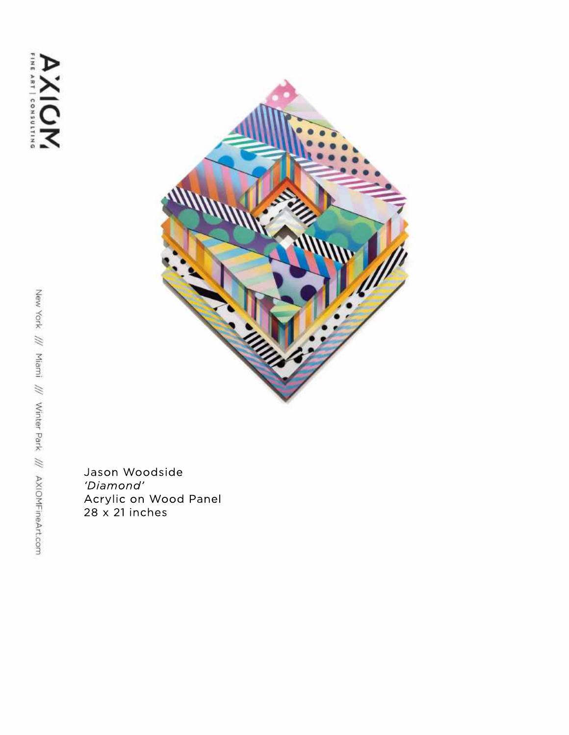

JasonWoodside *'Diamond'* Acrylic on Wood Panel 28x21inches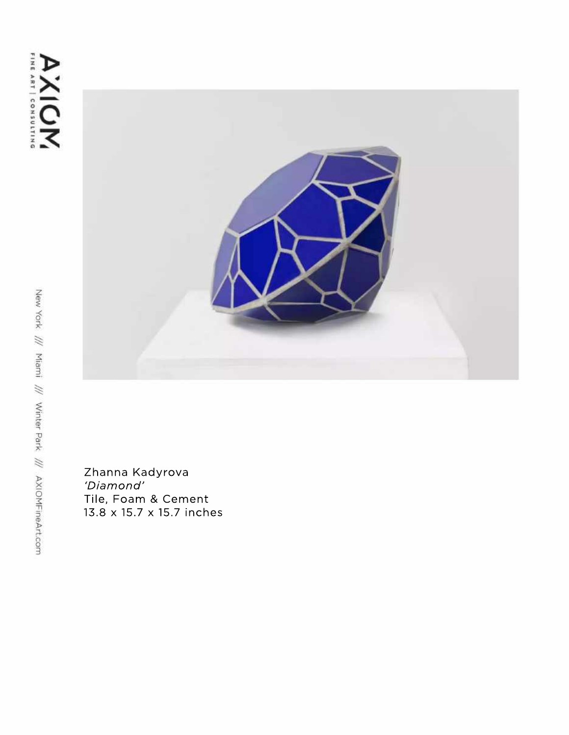

Zhanna Kadyrova *'Diamond'* Tile, Foam & Cement 13.8x15.7x15.7inches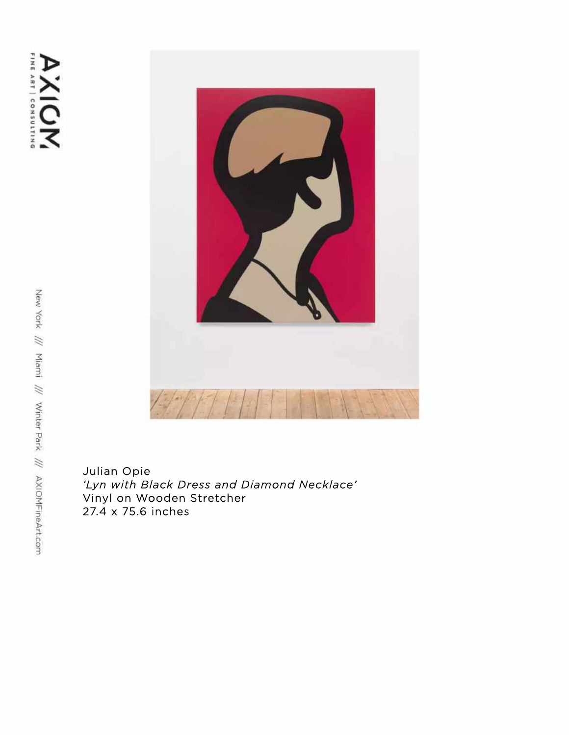

Julian Opie 'Lyn with Black Dress and Diamond Necklace' Vinyl on Wooden Stretcher 27.4x75.6inches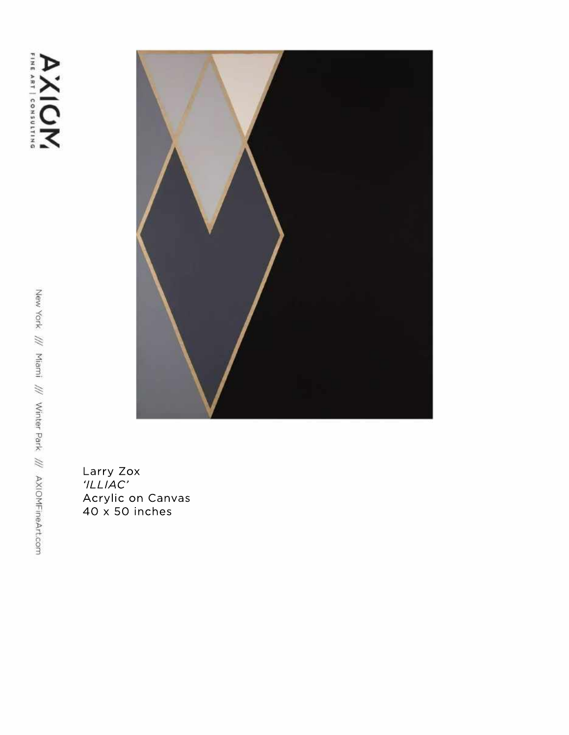## AXIOM



Larry Zox<br>*'ILLIAC'*<br>Acrylic on Canvas<br>40 x 50 inches